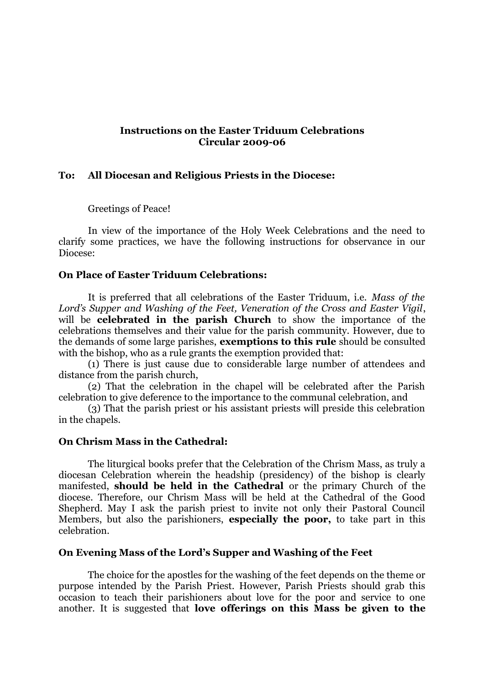#### **Instructions on the Easter Triduum Celebrations Circular 2009-06**

### **To: All Diocesan and Religious Priests in the Diocese:**

Greetings of Peace!

In view of the importance of the Holy Week Celebrations and the need to clarify some practices, we have the following instructions for observance in our Diocese:

### **On Place of Easter Triduum Celebrations:**

It is preferred that all celebrations of the Easter Triduum, i.e. *Mass of the Lord's Supper and Washing of the Feet, Veneration of the Cross and Easter Vigil*, will be **celebrated in the parish Church** to show the importance of the celebrations themselves and their value for the parish community. However, due to the demands of some large parishes, **exemptions to this rule** should be consulted with the bishop, who as a rule grants the exemption provided that:

(1) There is just cause due to considerable large number of attendees and distance from the parish church,

(2) That the celebration in the chapel will be celebrated after the Parish celebration to give deference to the importance to the communal celebration, and

(3) That the parish priest or his assistant priests will preside this celebration in the chapels.

#### **On Chrism Mass in the Cathedral:**

The liturgical books prefer that the Celebration of the Chrism Mass, as truly a diocesan Celebration wherein the headship (presidency) of the bishop is clearly manifested, **should be held in the Cathedral** or the primary Church of the diocese. Therefore, our Chrism Mass will be held at the Cathedral of the Good Shepherd. May I ask the parish priest to invite not only their Pastoral Council Members, but also the parishioners, **especially the poor,** to take part in this celebration.

### **On Evening Mass of the Lord's Supper and Washing of the Feet**

The choice for the apostles for the washing of the feet depends on the theme or purpose intended by the Parish Priest. However, Parish Priests should grab this occasion to teach their parishioners about love for the poor and service to one another. It is suggested that **love offerings on this Mass be given to the**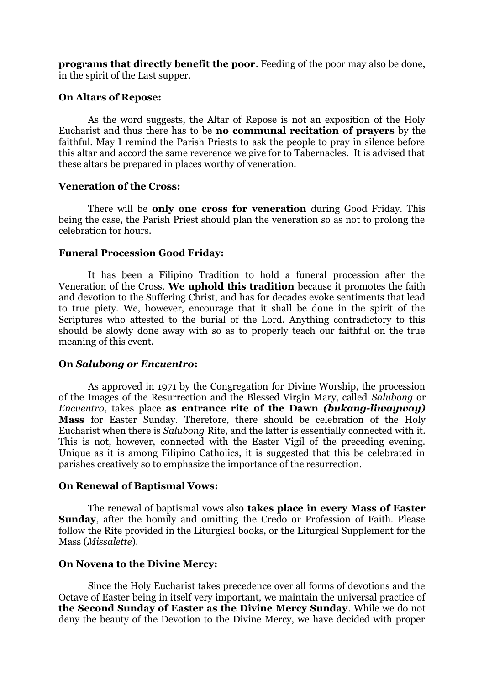**programs that directly benefit the poor**. Feeding of the poor may also be done, in the spirit of the Last supper.

## **On Altars of Repose:**

As the word suggests, the Altar of Repose is not an exposition of the Holy Eucharist and thus there has to be **no communal recitation of prayers** by the faithful. May I remind the Parish Priests to ask the people to pray in silence before this altar and accord the same reverence we give for to Tabernacles. It is advised that these altars be prepared in places worthy of veneration.

### **Veneration of the Cross:**

There will be **only one cross for veneration** during Good Friday. This being the case, the Parish Priest should plan the veneration so as not to prolong the celebration for hours.

# **Funeral Procession Good Friday:**

It has been a Filipino Tradition to hold a funeral procession after the Veneration of the Cross. **We uphold this tradition** because it promotes the faith and devotion to the Suffering Christ, and has for decades evoke sentiments that lead to true piety. We, however, encourage that it shall be done in the spirit of the Scriptures who attested to the burial of the Lord. Anything contradictory to this should be slowly done away with so as to properly teach our faithful on the true meaning of this event.

### **On** *Salubong or Encuentro***:**

As approved in 1971 by the Congregation for Divine Worship, the procession of the Images of the Resurrection and the Blessed Virgin Mary, called *Salubong* or *Encuentro*, takes place **as entrance rite of the Dawn** *(bukang-liwayway)* **Mass** for Easter Sunday. Therefore, there should be celebration of the Holy Eucharist when there is *Salubong* Rite, and the latter is essentially connected with it. This is not, however, connected with the Easter Vigil of the preceding evening. Unique as it is among Filipino Catholics, it is suggested that this be celebrated in parishes creatively so to emphasize the importance of the resurrection.

### **On Renewal of Baptismal Vows:**

The renewal of baptismal vows also **takes place in every Mass of Easter Sunday**, after the homily and omitting the Credo or Profession of Faith. Please follow the Rite provided in the Liturgical books, or the Liturgical Supplement for the Mass (*Missalette*).

### **On Novena to the Divine Mercy:**

Since the Holy Eucharist takes precedence over all forms of devotions and the Octave of Easter being in itself very important, we maintain the universal practice of **the Second Sunday of Easter as the Divine Mercy Sunday**. While we do not deny the beauty of the Devotion to the Divine Mercy, we have decided with proper